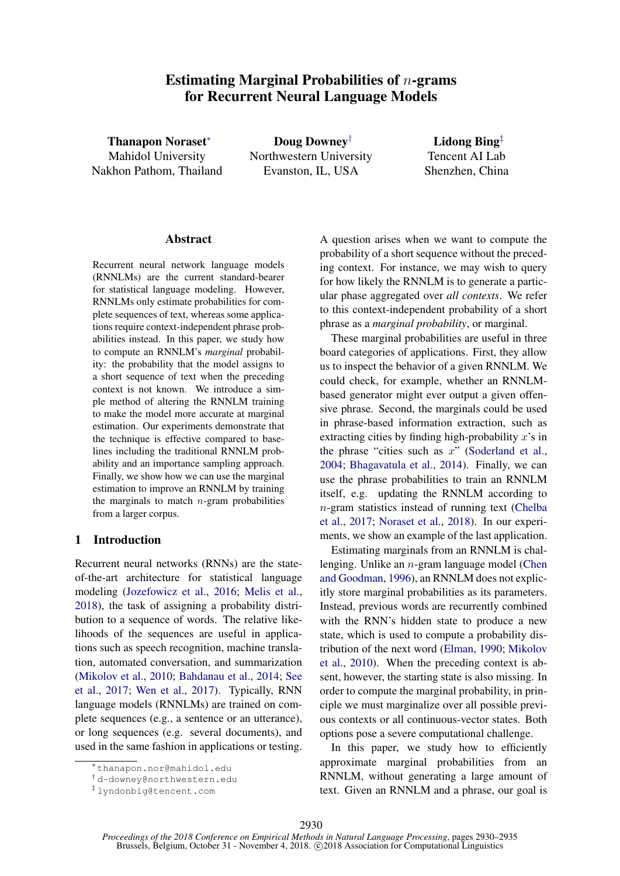# Estimating Marginal Probabilities of  $n$ -grams for Recurrent Neural Language Models

Thanapon Noraset<sup>∗</sup> Mahidol University Nakhon Pathom, Thailand

Doug Downey† Northwestern University Evanston, IL, USA

Lidong Bing‡ Tencent AI Lab Shenzhen, China

## **Abstract**

Recurrent neural network language models (RNNLMs) are the current standard-bearer for statistical language modeling. However, RNNLMs only estimate probabilities for complete sequences of text, whereas some applications require context-independent phrase probabilities instead. In this paper, we study how to compute an RNNLM's *marginal* probability: the probability that the model assigns to a short sequence of text when the preceding context is not known. We introduce a simple method of altering the RNNLM training to make the model more accurate at marginal estimation. Our experiments demonstrate that the technique is effective compared to baselines including the traditional RNNLM probability and an importance sampling approach. Finally, we show how we can use the marginal estimation to improve an RNNLM by training the marginals to match  $n$ -gram probabilities from a larger corpus.

# 1 Introduction

Recurrent neural networks (RNNs) are the stateof-the-art architecture for statistical language modeling [\(Jozefowicz et al.,](#page-5-0) [2016;](#page-5-0) [Melis et al.,](#page-5-1) [2018\)](#page-5-1), the task of assigning a probability distribution to a sequence of words. The relative likelihoods of the sequences are useful in applications such as speech recognition, machine translation, automated conversation, and summarization [\(Mikolov et al.,](#page-5-2) [2010;](#page-5-2) [Bahdanau et al.,](#page-4-0) [2014;](#page-4-0) [See](#page-5-3) [et al.,](#page-5-3) [2017;](#page-5-3) [Wen et al.,](#page-5-4) [2017\)](#page-5-4). Typically, RNN language models (RNNLMs) are trained on complete sequences (e.g., a sentence or an utterance), or long sequences (e.g. several documents), and used in the same fashion in applications or testing.

A question arises when we want to compute the probability of a short sequence without the preceding context. For instance, we may wish to query for how likely the RNNLM is to generate a particular phase aggregated over *all contexts*. We refer to this context-independent probability of a short phrase as a *marginal probability*, or marginal.

These marginal probabilities are useful in three board categories of applications. First, they allow us to inspect the behavior of a given RNNLM. We could check, for example, whether an RNNLMbased generator might ever output a given offensive phrase. Second, the marginals could be used in phrase-based information extraction, such as extracting cities by finding high-probability  $x$ 's in the phrase "cities such as  $x$ " [\(Soderland et al.,](#page-5-5) [2004;](#page-5-5) [Bhagavatula et al.,](#page-4-1) [2014\)](#page-4-1). Finally, we can use the phrase probabilities to train an RNNLM itself, e.g. updating the RNNLM according to n-gram statistics instead of running text [\(Chelba](#page-5-6) [et al.,](#page-5-6) [2017;](#page-5-6) [Noraset et al.,](#page-5-7) [2018\)](#page-5-7). In our experiments, we show an example of the last application.

Estimating marginals from an RNNLM is challenging. Unlike an n-gram language model [\(Chen](#page-5-8) [and Goodman,](#page-5-8) [1996\)](#page-5-8), an RNNLM does not explicitly store marginal probabilities as its parameters. Instead, previous words are recurrently combined with the RNN's hidden state to produce a new state, which is used to compute a probability distribution of the next word [\(Elman,](#page-5-9) [1990;](#page-5-9) [Mikolov](#page-5-2) [et al.,](#page-5-2) [2010\)](#page-5-2). When the preceding context is absent, however, the starting state is also missing. In order to compute the marginal probability, in principle we must marginalize over all possible previous contexts or all continuous-vector states. Both options pose a severe computational challenge.

In this paper, we study how to efficiently approximate marginal probabilities from an RNNLM, without generating a large amount of text. Given an RNNLM and a phrase, our goal is

<sup>∗</sup> thanapon.nor@mahidol.edu

<sup>†</sup> d-downey@northwestern.edu

<sup>‡</sup> lyndonbig@tencent.com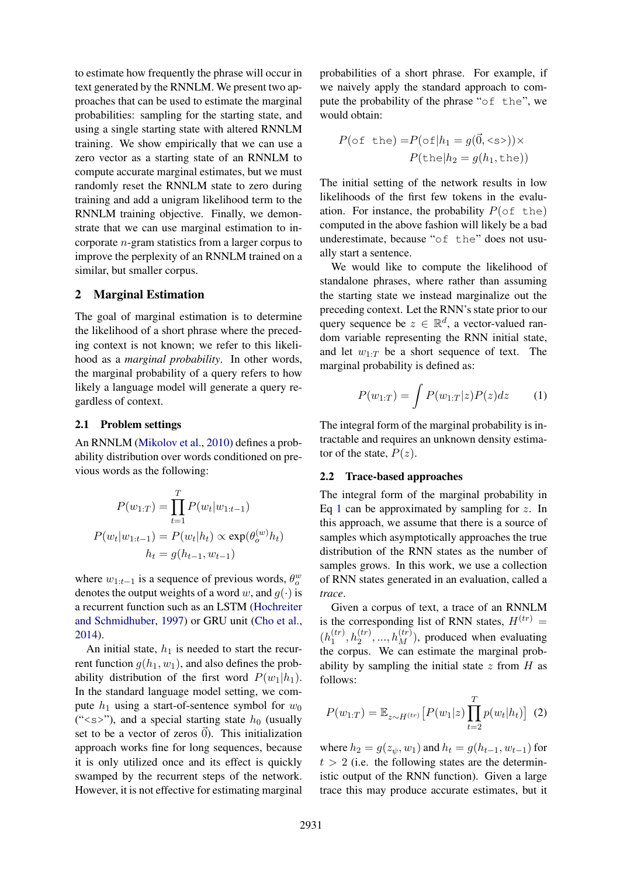to estimate how frequently the phrase will occur in text generated by the RNNLM. We present two approaches that can be used to estimate the marginal probabilities: sampling for the starting state, and using a single starting state with altered RNNLM training. We show empirically that we can use a zero vector as a starting state of an RNNLM to compute accurate marginal estimates, but we must randomly reset the RNNLM state to zero during training and add a unigram likelihood term to the RNNLM training objective. Finally, we demonstrate that we can use marginal estimation to incorporate n-gram statistics from a larger corpus to improve the perplexity of an RNNLM trained on a similar, but smaller corpus.

### <span id="page-1-1"></span>2 Marginal Estimation

The goal of marginal estimation is to determine the likelihood of a short phrase where the preceding context is not known; we refer to this likelihood as a *marginal probability*. In other words, the marginal probability of a query refers to how likely a language model will generate a query regardless of context.

#### 2.1 Problem settings

An RNNLM [\(Mikolov et al.,](#page-5-2) [2010\)](#page-5-2) defines a probability distribution over words conditioned on previous words as the following:

$$
P(w_{1:T}) = \prod_{t=1}^{T} P(w_t|w_{1:t-1})
$$

$$
P(w_t|w_{1:t-1}) = P(w_t|h_t) \propto \exp(\theta_o^{(w)}h_t)
$$

$$
h_t = g(h_{t-1}, w_{t-1})
$$

where  $w_{1:t-1}$  is a sequence of previous words,  $\theta_o^w$ denotes the output weights of a word w, and  $g(\cdot)$  is a recurrent function such as an LSTM [\(Hochreiter](#page-5-10) [and Schmidhuber,](#page-5-10) [1997\)](#page-5-10) or GRU unit [\(Cho et al.,](#page-5-11) [2014\)](#page-5-11).

An initial state,  $h_1$  is needed to start the recurrent function  $g(h_1, w_1)$ , and also defines the probability distribution of the first word  $P(w_1|h_1)$ . In the standard language model setting, we compute  $h_1$  using a start-of-sentence symbol for  $w_0$ (" $\langle$ s>"), and a special starting state  $h_0$  (usually set to be a vector of zeros  $\vec{0}$ ). This initialization approach works fine for long sequences, because it is only utilized once and its effect is quickly swamped by the recurrent steps of the network. However, it is not effective for estimating marginal probabilities of a short phrase. For example, if we naively apply the standard approach to compute the probability of the phrase "of the", we would obtain:

$$
P(\text{of the}) = P(\text{of}|h_1 = g(\vec{0}, \text{ss})) \times P(\text{the}|h_2 = g(h_1, \text{the}))
$$

The initial setting of the network results in low likelihoods of the first few tokens in the evaluation. For instance, the probability  $P(\circ f \text{ the})$ computed in the above fashion will likely be a bad underestimate, because "of the" does not usually start a sentence.

We would like to compute the likelihood of standalone phrases, where rather than assuming the starting state we instead marginalize out the preceding context. Let the RNN's state prior to our query sequence be  $z \in \mathbb{R}^d$ , a vector-valued random variable representing the RNN initial state, and let  $w_{1:T}$  be a short sequence of text. The marginal probability is defined as:

<span id="page-1-0"></span>
$$
P(w_{1:T}) = \int P(w_{1:T}|z)P(z)dz \qquad (1)
$$

The integral form of the marginal probability is intractable and requires an unknown density estimator of the state,  $P(z)$ .

#### 2.2 Trace-based approaches

The integral form of the marginal probability in Eq [1](#page-1-0) can be approximated by sampling for  $z$ . In this approach, we assume that there is a source of samples which asymptotically approaches the true distribution of the RNN states as the number of samples grows. In this work, we use a collection of RNN states generated in an evaluation, called a *trace*.

Given a corpus of text, a trace of an RNNLM is the corresponding list of RNN states,  $H^{(tr)} =$  $(h_1^{(tr)}$  $\binom{(tr)}{1}, h_2^{(tr)}, ..., h_M^{(tr)}$ , produced when evaluating the corpus. We can estimate the marginal probability by sampling the initial state  $z$  from  $H$  as follows:

$$
P(w_{1:T}) = \mathbb{E}_{z \sim H^{(tr)}} [P(w_1|z) \prod_{t=2}^{T} p(w_t|h_t)] \tag{2}
$$

where  $h_2 = g(z_{\psi}, w_1)$  and  $h_t = g(h_{t-1}, w_{t-1})$  for  $t > 2$  (i.e. the following states are the deterministic output of the RNN function). Given a large trace this may produce accurate estimates, but it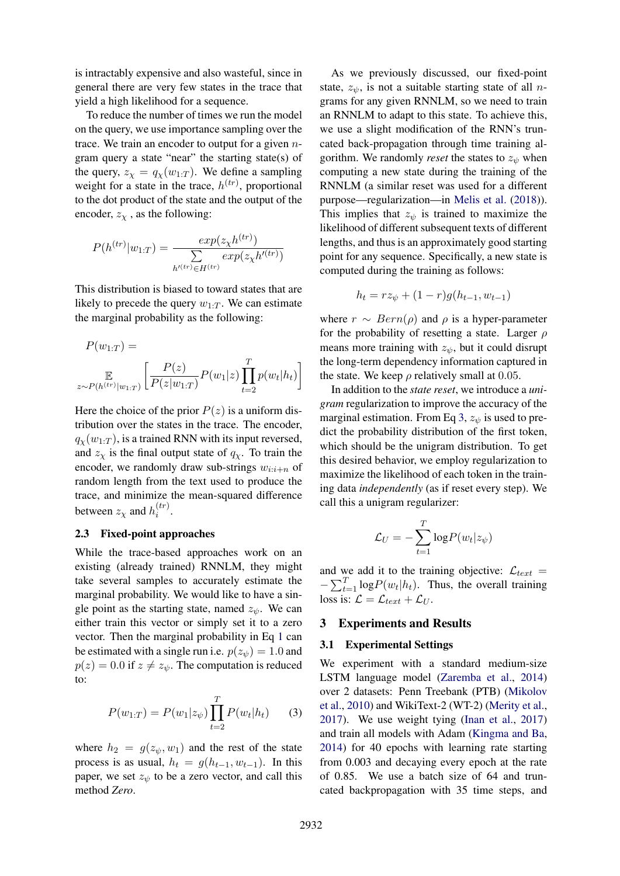is intractably expensive and also wasteful, since in general there are very few states in the trace that yield a high likelihood for a sequence.

To reduce the number of times we run the model on the query, we use importance sampling over the trace. We train an encoder to output for a given  $n$ gram query a state "near" the starting state(s) of the query,  $z_{\chi} = q_{\chi}(w_{1:T})$ . We define a sampling weight for a state in the trace,  $h^{(tr)}$ , proportional to the dot product of the state and the output of the encoder,  $z<sub>x</sub>$ , as the following:

$$
P(h^{(tr)}|w_{1:T}) = \frac{exp(z_{\chi}h^{(tr)})}{\sum_{h'(tr) \in H^{(tr)}} exp(z_{\chi}h'^{(tr)})}
$$

This distribution is biased to toward states that are likely to precede the query  $w_{1:T}$ . We can estimate the marginal probability as the following:

$$
P(w_{1:T}) = \mathbb{E}_{z \sim P(h^{(tr)}|w_{1:T})} \left[ \frac{P(z)}{P(z|w_{1:T})} P(w_1|z) \prod_{t=2}^T p(w_t|h_t) \right]
$$

Here the choice of the prior  $P(z)$  is a uniform distribution over the states in the trace. The encoder,  $q_{\chi}(w_{1:T})$ , is a trained RNN with its input reversed, and  $z<sub>x</sub>$  is the final output state of  $q<sub>x</sub>$ . To train the encoder, we randomly draw sub-strings  $w_{i:i+n}$  of random length from the text used to produce the trace, and minimize the mean-squared difference between  $z_{\chi}$  and  $h_i^{(tr)}$  $\binom{u}{i}$ .

### 2.3 Fixed-point approaches

While the trace-based approaches work on an existing (already trained) RNNLM, they might take several samples to accurately estimate the marginal probability. We would like to have a single point as the starting state, named  $z_{\psi}$ . We can either train this vector or simply set it to a zero vector. Then the marginal probability in Eq [1](#page-1-0) can be estimated with a single run i.e.  $p(z_{\psi}) = 1.0$  and  $p(z) = 0.0$  if  $z \neq z_{\psi}$ . The computation is reduced to:

$$
P(w_{1:T}) = P(w_1|z_{\psi}) \prod_{t=2}^{T} P(w_t|h_t)
$$
 (3)

where  $h_2 = g(z_\psi, w_1)$  and the rest of the state process is as usual,  $h_t = g(h_{t-1}, w_{t-1})$ . In this paper, we set  $z_{\psi}$  to be a zero vector, and call this method *Zero*.

As we previously discussed, our fixed-point state,  $z_{\psi}$ , is not a suitable starting state of all *n*grams for any given RNNLM, so we need to train an RNNLM to adapt to this state. To achieve this, we use a slight modification of the RNN's truncated back-propagation through time training algorithm. We randomly *reset* the states to  $z<sub>ψ</sub>$  when computing a new state during the training of the RNNLM (a similar reset was used for a different purpose—regularization—in [Melis et al.](#page-5-1) [\(2018\)](#page-5-1)). This implies that  $z_{\psi}$  is trained to maximize the likelihood of different subsequent texts of different lengths, and thus is an approximately good starting point for any sequence. Specifically, a new state is computed during the training as follows:

$$
h_t = rz_{\psi} + (1 - r)g(h_{t-1}, w_{t-1})
$$

where  $r \sim Bern(\rho)$  and  $\rho$  is a hyper-parameter for the probability of resetting a state. Larger  $\rho$ means more training with  $z<sub>ψ</sub>$ , but it could disrupt the long-term dependency information captured in the state. We keep  $\rho$  relatively small at 0.05.

In addition to the *state reset*, we introduce a *unigram* regularization to improve the accuracy of the marginal estimation. From Eq [3,](#page-2-0)  $z_{\psi}$  is used to predict the probability distribution of the first token, which should be the unigram distribution. To get this desired behavior, we employ regularization to maximize the likelihood of each token in the training data *independently* (as if reset every step). We call this a unigram regularizer:

$$
\mathcal{L}_U = -\sum_{t=1}^T \log P(w_t | z_{\psi})
$$

and we add it to the training objective:  $\mathcal{L}_{text}$  =  $-\sum_{t=1}^{T} \log P(w_t | h_t)$ . Thus, the overall training loss is:  $\mathcal{L} = \mathcal{L}_{text} + \mathcal{L}_{U}$ .

# 3 Experiments and Results

#### 3.1 Experimental Settings

<span id="page-2-0"></span>We experiment with a standard medium-size LSTM language model [\(Zaremba et al.,](#page-5-12) [2014\)](#page-5-12) over 2 datasets: Penn Treebank (PTB) [\(Mikolov](#page-5-2) [et al.,](#page-5-2) [2010\)](#page-5-2) and WikiText-2 (WT-2) [\(Merity et al.,](#page-5-13) [2017\)](#page-5-13). We use weight tying [\(Inan et al.,](#page-5-14) [2017\)](#page-5-14) and train all models with Adam [\(Kingma and Ba,](#page-5-15) [2014\)](#page-5-15) for 40 epochs with learning rate starting from 0.003 and decaying every epoch at the rate of 0.85. We use a batch size of 64 and truncated backpropagation with 35 time steps, and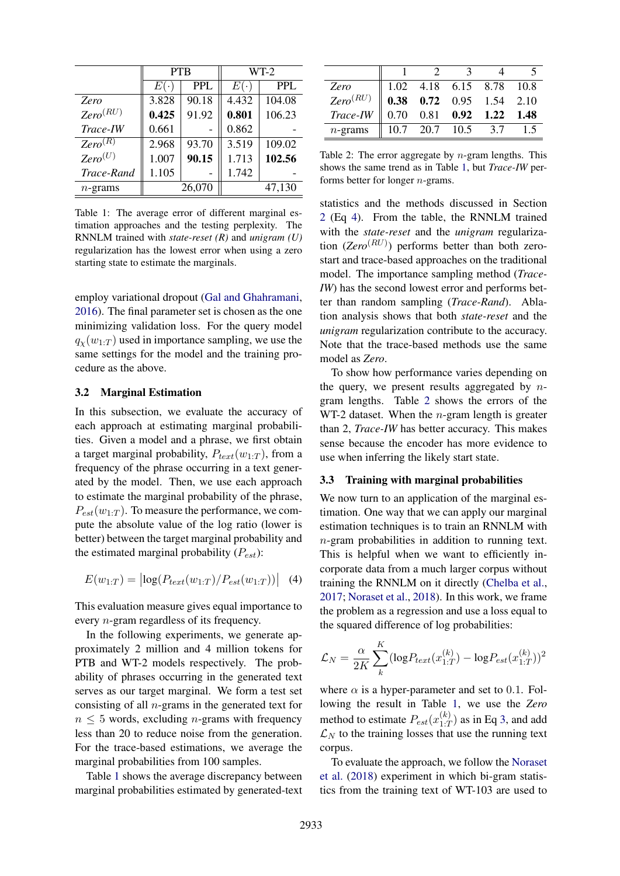|               |            | <b>PTB</b> | $WT-2$     |            |  |
|---------------|------------|------------|------------|------------|--|
|               | $E(\cdot)$ | <b>PPL</b> | $E(\cdot)$ | <b>PPL</b> |  |
| Zero          | 3.828      | 90.18      | 4.432      | 104.08     |  |
| $Zero^{(RU)}$ | 0.425      | 91.92      | 0.801      | 106.23     |  |
| Trace-IW      | 0.661      |            | 0.862      |            |  |
| $Zero^{(R)}$  | 2.968      | 93.70      | 3.519      | 109.02     |  |
| $Zero^{(U)}$  | 1.007      | 90.15      | 1.713      | 102.56     |  |
| Trace-Rand    | 1.105      |            | 1.742      |            |  |
| $n$ -grams    |            | 26,070     |            | 47,130     |  |

<span id="page-3-0"></span>Table 1: The average error of different marginal estimation approaches and the testing perplexity. The RNNLM trained with *state-reset (R)* and *unigram (U)* regularization has the lowest error when using a zero starting state to estimate the marginals.

employ variational dropout [\(Gal and Ghahramani,](#page-5-16) [2016\)](#page-5-16). The final parameter set is chosen as the one minimizing validation loss. For the query model  $q_{\chi}(w_{1:T})$  used in importance sampling, we use the same settings for the model and the training procedure as the above.

#### 3.2 Marginal Estimation

In this subsection, we evaluate the accuracy of each approach at estimating marginal probabilities. Given a model and a phrase, we first obtain a target marginal probability,  $P_{text}(w_{1:T})$ , from a frequency of the phrase occurring in a text generated by the model. Then, we use each approach to estimate the marginal probability of the phrase,  $P_{est}(w_{1:T})$ . To measure the performance, we compute the absolute value of the log ratio (lower is better) between the target marginal probability and the estimated marginal probability  $(P_{est})$ :

$$
E(w_{1:T}) = |\log(P_{text}(w_{1:T})/P_{est}(w_{1:T}))| \quad (4)
$$

This evaluation measure gives equal importance to every n-gram regardless of its frequency.

In the following experiments, we generate approximately 2 million and 4 million tokens for PTB and WT-2 models respectively. The probability of phrases occurring in the generated text serves as our target marginal. We form a test set consisting of all  $n$ -grams in the generated text for  $n \leq 5$  words, excluding *n*-grams with frequency less than 20 to reduce noise from the generation. For the trace-based estimations, we average the marginal probabilities from 100 samples.

Table [1](#page-3-0) shows the average discrepancy between marginal probabilities estimated by generated-text

|               |                                                                                                                                                                                                                            | $\mathbf{3}$ |  |
|---------------|----------------------------------------------------------------------------------------------------------------------------------------------------------------------------------------------------------------------------|--------------|--|
| Zero          |                                                                                                                                                                                                                            |              |  |
| $Zero^{(RU)}$ |                                                                                                                                                                                                                            |              |  |
| Trace-IW      | $\begin{tabular}{ cccc cccc } \hline 1.02 & 4.18 & 6.15 & 8.78 & 10.8 \\ \hline \textbf{0.38} & \textbf{0.72} & 0.95 & 1.54 & 2.10 \\ 0.70 & 0.81 & \textbf{0.92} & \textbf{1.22} & \textbf{1.48} \\ \hline \end{tabular}$ |              |  |
| $n$ -grams    | $\parallel$ 10.7 20.7 10.5 3.7                                                                                                                                                                                             |              |  |

<span id="page-3-2"></span>Table 2: The error aggregate by  $n$ -gram lengths. This shows the same trend as in Table [1,](#page-3-0) but *Trace-IW* performs better for longer n-grams.

statistics and the methods discussed in Section [2](#page-1-1) (Eq [4\)](#page-3-1). From the table, the RNNLM trained with the *state-reset* and the *unigram* regularization (*Zero*<sup>(RU)</sup>) performs better than both zerostart and trace-based approaches on the traditional model. The importance sampling method (*Trace-IW*) has the second lowest error and performs better than random sampling (*Trace-Rand*). Ablation analysis shows that both *state-reset* and the *unigram* regularization contribute to the accuracy. Note that the trace-based methods use the same model as *Zero*.

To show how performance varies depending on the query, we present results aggregated by  $n$ gram lengths. Table [2](#page-3-2) shows the errors of the WT-2 dataset. When the  $n$ -gram length is greater than 2, *Trace-IW* has better accuracy. This makes sense because the encoder has more evidence to use when inferring the likely start state.

### 3.3 Training with marginal probabilities

<span id="page-3-1"></span>We now turn to an application of the marginal estimation. One way that we can apply our marginal estimation techniques is to train an RNNLM with n-gram probabilities in addition to running text. This is helpful when we want to efficiently incorporate data from a much larger corpus without training the RNNLM on it directly [\(Chelba et al.,](#page-5-6) [2017;](#page-5-6) [Noraset et al.,](#page-5-7) [2018\)](#page-5-7). In this work, we frame the problem as a regression and use a loss equal to the squared difference of log probabilities:

$$
\mathcal{L}_N = \frac{\alpha}{2K} \sum_{k}^{K} (\log P_{text}(x_{1:T}^{(k)}) - \log P_{est}(x_{1:T}^{(k)}))^2
$$

where  $\alpha$  is a hyper-parameter and set to 0.1. Following the result in Table [1,](#page-3-0) we use the *Zero* method to estimate  $P_{est}(x_{1:T}^{(k)})$  $\binom{N}{1:T}$  as in Eq [3,](#page-2-0) and add  $\mathcal{L}_N$  to the training losses that use the running text corpus.

To evaluate the approach, we follow the [Noraset](#page-5-7) [et al.](#page-5-7) [\(2018\)](#page-5-7) experiment in which bi-gram statistics from the training text of WT-103 are used to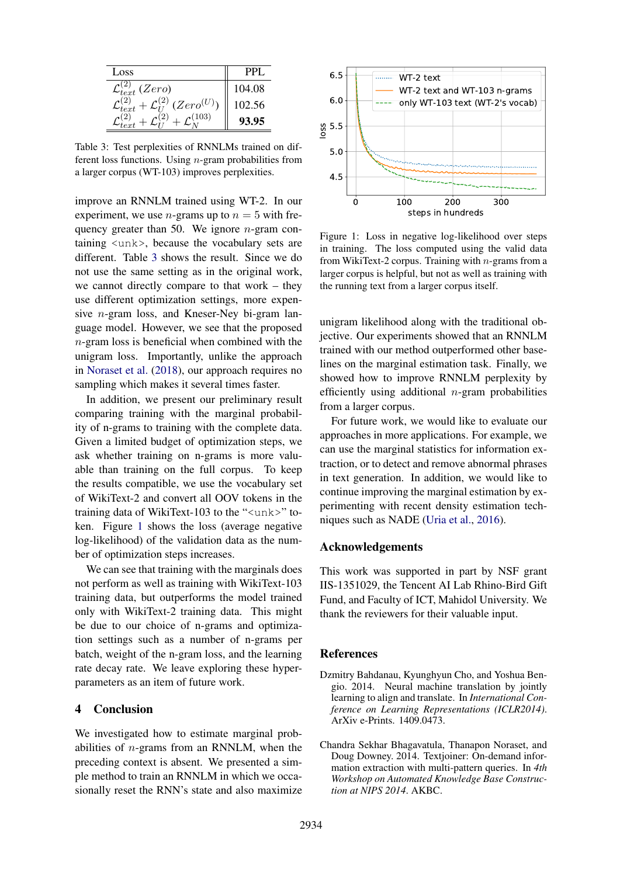| Loss                                      | PPL.   |
|-------------------------------------------|--------|
| $L_t$ (Zero)<br>$\mathcal{L}_{text}$      | 104.08 |
| - $\mathcal{L}_{1}^{(2)}$ (Zero $^{(U)})$ | 102.56 |
| 103)                                      | 8.95   |

<span id="page-4-2"></span>Table 3: Test perplexities of RNNLMs trained on different loss functions. Using  $n$ -gram probabilities from a larger corpus (WT-103) improves perplexities.

improve an RNNLM trained using WT-2. In our experiment, we use *n*-grams up to  $n = 5$  with frequency greater than 50. We ignore  $n$ -gram containing <unk>, because the vocabulary sets are different. Table [3](#page-4-2) shows the result. Since we do not use the same setting as in the original work, we cannot directly compare to that work – they use different optimization settings, more expensive  $n$ -gram loss, and Kneser-Ney bi-gram language model. However, we see that the proposed n-gram loss is beneficial when combined with the unigram loss. Importantly, unlike the approach in [Noraset et al.](#page-5-7) [\(2018\)](#page-5-7), our approach requires no sampling which makes it several times faster.

In addition, we present our preliminary result comparing training with the marginal probability of n-grams to training with the complete data. Given a limited budget of optimization steps, we ask whether training on n-grams is more valuable than training on the full corpus. To keep the results compatible, we use the vocabulary set of WikiText-2 and convert all OOV tokens in the training data of WikiText-103 to the "<unk>" token. Figure [1](#page-4-3) shows the loss (average negative log-likelihood) of the validation data as the number of optimization steps increases.

We can see that training with the marginals does not perform as well as training with WikiText-103 training data, but outperforms the model trained only with WikiText-2 training data. This might be due to our choice of n-grams and optimization settings such as a number of n-grams per batch, weight of the n-gram loss, and the learning rate decay rate. We leave exploring these hyperparameters as an item of future work.

### 4 Conclusion

We investigated how to estimate marginal probabilities of n-grams from an RNNLM, when the preceding context is absent. We presented a simple method to train an RNNLM in which we occasionally reset the RNN's state and also maximize



<span id="page-4-3"></span>Figure 1: Loss in negative log-likelihood over steps in training. The loss computed using the valid data from WikiText-2 corpus. Training with  $n$ -grams from a larger corpus is helpful, but not as well as training with the running text from a larger corpus itself.

unigram likelihood along with the traditional objective. Our experiments showed that an RNNLM trained with our method outperformed other baselines on the marginal estimation task. Finally, we showed how to improve RNNLM perplexity by efficiently using additional  $n$ -gram probabilities from a larger corpus.

For future work, we would like to evaluate our approaches in more applications. For example, we can use the marginal statistics for information extraction, or to detect and remove abnormal phrases in text generation. In addition, we would like to continue improving the marginal estimation by experimenting with recent density estimation techniques such as NADE [\(Uria et al.,](#page-5-17) [2016\)](#page-5-17).

# Acknowledgements

This work was supported in part by NSF grant IIS-1351029, the Tencent AI Lab Rhino-Bird Gift Fund, and Faculty of ICT, Mahidol University. We thank the reviewers for their valuable input.

# References

- <span id="page-4-0"></span>Dzmitry Bahdanau, Kyunghyun Cho, and Yoshua Bengio. 2014. Neural machine translation by jointly learning to align and translate. In *International Conference on Learning Representations (ICLR2014)*. ArXiv e-Prints. 1409.0473.
- <span id="page-4-1"></span>Chandra Sekhar Bhagavatula, Thanapon Noraset, and Doug Downey. 2014. Textjoiner: On-demand information extraction with multi-pattern queries. In *4th Workshop on Automated Knowledge Base Construction at NIPS 2014*. AKBC.